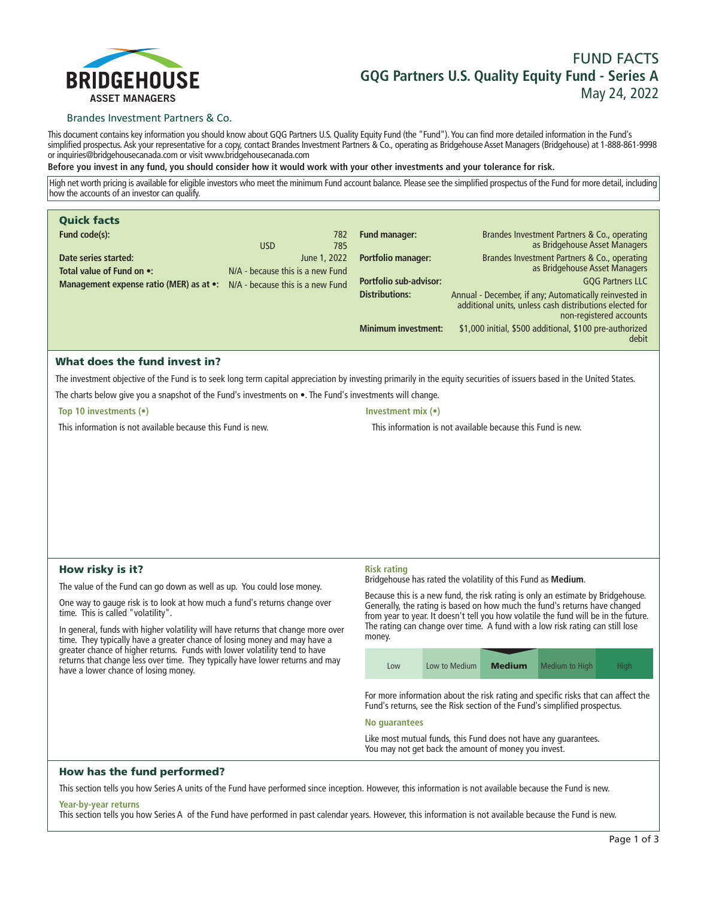

# **FUND FACTS GQG Partners U.S. Quality Equity Fund - Series A May 24, 2022**

## Brandes Investment Partners & Co.

**This document contains key information you should know about GQG Partners U.S. Quality Equity Fund (the "Fund"). You can find more detailed information in the Fund's simplified prospectus. Ask your representative for a copy, contact Brandes Investment Partners & Co., operating as Bridgehouse Asset Managers (Bridgehouse) at 1-888-861-9998 or inquiries@bridgehousecanada.com or visit www.bridgehousecanada.com**

**Before you invest in any fund, you should consider how it would work with your other investments and your tolerance for risk.**

**High net worth pricing is available for eligible investors who meet the minimum Fund account balance. Please see the simplified prospectus of the Fund for more detail, including how the accounts of an investor can qualify.**

| <b>Quick facts</b>                                                                |                                  |              |                               |                                                                                                                                              |
|-----------------------------------------------------------------------------------|----------------------------------|--------------|-------------------------------|----------------------------------------------------------------------------------------------------------------------------------------------|
| Fund code(s):                                                                     |                                  | 782          | <b>Fund manager:</b>          | Brandes Investment Partners & Co., operating                                                                                                 |
|                                                                                   | <b>USD</b>                       | 785          |                               | as Bridgehouse Asset Managers                                                                                                                |
| Date series started:                                                              |                                  | June 1, 2022 | <b>Portfolio manager:</b>     | Brandes Investment Partners & Co., operating                                                                                                 |
| Total value of Fund on •:                                                         | N/A - because this is a new Fund |              |                               | as Bridgehouse Asset Managers                                                                                                                |
| <b>Management expense ratio (MER) as at •:</b> $N/A$ - because this is a new Fund |                                  |              | <b>Portfolio sub-advisor:</b> | <b>GQG Partners LLC</b>                                                                                                                      |
|                                                                                   |                                  |              | <b>Distributions:</b>         | Annual - December, if any; Automatically reinvested in<br>additional units, unless cash distributions elected for<br>non-registered accounts |
|                                                                                   |                                  |              | <b>Minimum investment:</b>    | \$1,000 initial, \$500 additional, \$100 pre-authorized<br>debit                                                                             |

# What does the fund invest in?

**The investment objective of the Fund is to seek long term capital appreciation by investing primarily in the equity securities of issuers based in the United States. The charts below give you a snapshot of the Fund's investments on •. The Fund's investments will change.**

**Top 10 investments (•)**

**This information is not available because this Fund is new.**

```
Investment mix (•)
```
**This information is not available because this Fund is new.**

# How risky is it?

**The value of the Fund can go down as well as up. You could lose money.**

**One way to gauge risk is to look at how much a fund's returns change over time. This is called "volatility".**

**In general, funds with higher volatility will have returns that change more over time. They typically have a greater chance of losing money and may have a greater chance of higher returns. Funds with lower volatility tend to have returns that change less over time. They typically have lower returns and may have a lower chance of losing money.**

#### **Risk rating**

**Bridgehouse has rated the volatility of this Fund as Medium.**

**Because this is a new fund, the risk rating is only an estimate by Bridgehouse. Generally, the rating is based on how much the fund's returns have changed from year to year. It doesn't tell you how volatile the fund will be in the future. The rating can change over time. A fund with a low risk rating can still lose money.**

| Low | Low to Medium | <b>Medium</b> | Medium to High | <b>High</b> |
|-----|---------------|---------------|----------------|-------------|

**For more information about the risk rating and specific risks that can affect the Fund's returns, see the Risk section of the Fund's simplified prospectus.**

### **No guarantees**

**Like most mutual funds, this Fund does not have any guarantees. You may not get back the amount of money you invest.**

# How has the fund performed?

**This section tells you how Series A units of the Fund have performed since inception. However, this information is not available because the Fund is new.**

#### **Year-by-year returns**

**This section tells you how Series A of the Fund have performed in past calendar years. However, this information is not available because the Fund is new.**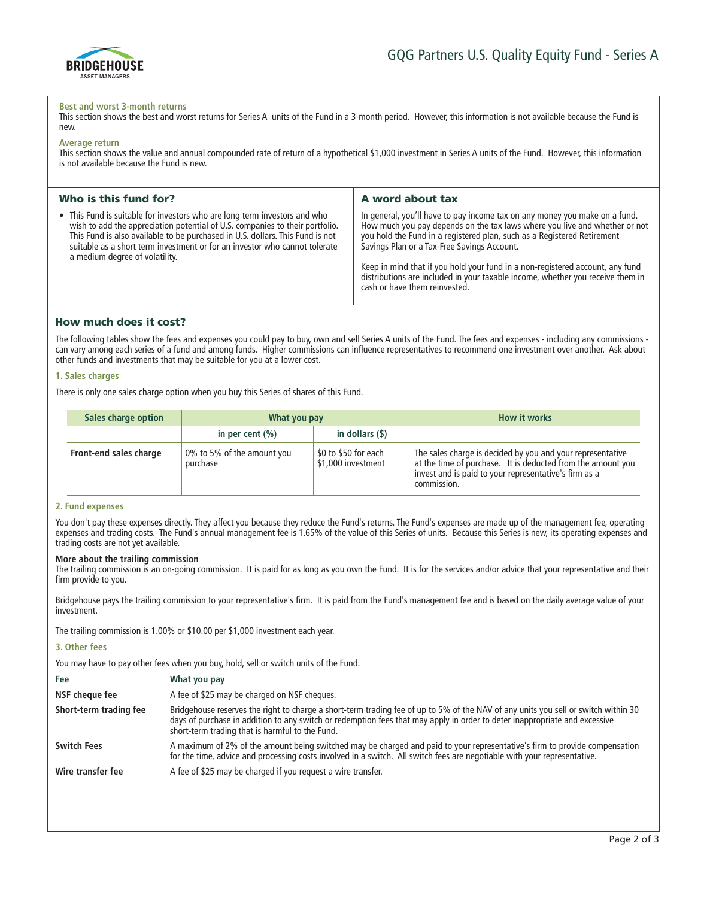

#### **Best and worst 3-month returns**

This section shows the best and worst returns for Series A units of the Fund in a 3-month period. However, this information is not available because the Fund is **new.**

#### **Average return**

**This section shows the value and annual compounded rate of return of a hypothetical \$1,000 investment in Series A units of the Fund. However, this information is not available because the Fund is new.**

| Who is this fund for?                                                                                                                                                                                                                                                                                                                                      | A word about tax                                                                                                                                                                                                                                                                                                                                                                                                                                                                       |
|------------------------------------------------------------------------------------------------------------------------------------------------------------------------------------------------------------------------------------------------------------------------------------------------------------------------------------------------------------|----------------------------------------------------------------------------------------------------------------------------------------------------------------------------------------------------------------------------------------------------------------------------------------------------------------------------------------------------------------------------------------------------------------------------------------------------------------------------------------|
| • This Fund is suitable for investors who are long term investors and who<br>wish to add the appreciation potential of U.S. companies to their portfolio.<br>This Fund is also available to be purchased in U.S. dollars. This Fund is not<br>suitable as a short term investment or for an investor who cannot tolerate<br>a medium degree of volatility. | In general, you'll have to pay income tax on any money you make on a fund.<br>How much you pay depends on the tax laws where you live and whether or not<br>you hold the Fund in a registered plan, such as a Registered Retirement<br>Savings Plan or a Tax-Free Savings Account.<br>Keep in mind that if you hold your fund in a non-registered account, any fund<br>distributions are included in your taxable income, whether you receive them in<br>cash or have them reinvested. |

# How much does it cost?

**The following tables show the fees and expenses you could pay to buy, own and sell Series A units of the Fund. The fees and expenses - including any commissions can vary among each series of a fund and among funds. Higher commissions can influence representatives to recommend one investment over another. Ask about other funds and investments that may be suitable for you at a lower cost.**

## **1. Sales charges**

**There is only one sales charge option when you buy this Series of shares of this Fund.**

| Sales charge option    | What you pay                           |                                            | <b>How it works</b>                                                                                                                                                                               |
|------------------------|----------------------------------------|--------------------------------------------|---------------------------------------------------------------------------------------------------------------------------------------------------------------------------------------------------|
|                        | in per cent $(\% )$                    | in dollars $($ \$ $)$                      |                                                                                                                                                                                                   |
| Front-end sales charge | 0% to 5% of the amount you<br>purchase | \$0 to \$50 for each<br>\$1,000 investment | The sales charge is decided by you and your representative<br>at the time of purchase. It is deducted from the amount you<br>invest and is paid to your representative's firm as a<br>commission. |

## **2. Fund expenses**

You don't pay these expenses directly. They affect you because they reduce the Fund's returns. The Fund's expenses are made up of the management fee, operating **expenses and trading costs. The Fund's annual management fee is 1.65% of the value of this Series of units. Because this Series is new, its operating expenses and trading costs are not yet available.**

#### **More about the trailing commission**

**The trailing commission is an on-going commission. It is paid for as long as you own the Fund. It is for the services and/or advice that your representative and their firm provide to you.**

**Bridgehouse pays the trailing commission to your representative's firm. It is paid from the Fund's management fee and is based on the daily average value of your investment.**

**The trailing commission is 1.00% or \$10.00 per \$1,000 investment each year.**

## **3. Other fees**

**You may have to pay other fees when you buy, hold, sell or switch units of the Fund.**

| Fee                    | What you pay                                                                                                                                                                                                                                                                                                        |
|------------------------|---------------------------------------------------------------------------------------------------------------------------------------------------------------------------------------------------------------------------------------------------------------------------------------------------------------------|
| NSF cheque fee         | A fee of \$25 may be charged on NSF cheques.                                                                                                                                                                                                                                                                        |
| Short-term trading fee | Bridgehouse reserves the right to charge a short-term trading fee of up to 5% of the NAV of any units you sell or switch within 30<br>days of purchase in addition to any switch or redemption fees that may apply in order to deter inappropriate and excessive<br>short-term trading that is harmful to the Fund. |
| <b>Switch Fees</b>     | A maximum of 2% of the amount being switched may be charged and paid to your representative's firm to provide compensation<br>for the time, advice and processing costs involved in a switch. All switch fees are negotiable with your representative.                                                              |
| Wire transfer fee      | A fee of \$25 may be charged if you request a wire transfer.                                                                                                                                                                                                                                                        |